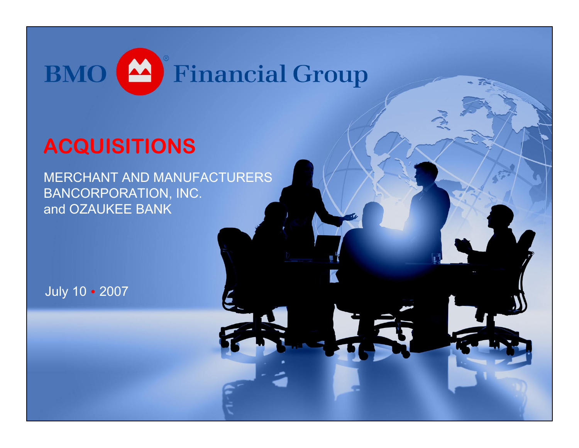

## **ACQUISITIONS**

MERCHANT AND MANUFACTURERS BANCORPORATION, INC. and OZAUKEE BANK

July 10 • 2007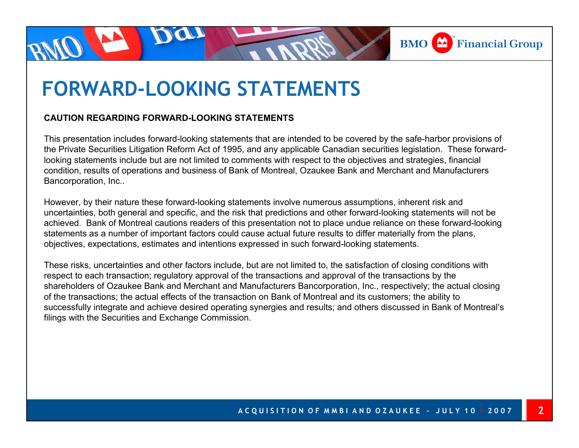

# **FORWARD-LOOKING STATEMENTS**

#### **CAUTION REGARDING FORWARD-LOOKING STATEMENTS**

This presentation includes forward-looking statements that are intended to be covered by the safe-harbor provisions of the Private Securities Litigation Reform Act of 1995, and any applicable Canadian securities legislation. These forwardlooking statements include but are not limited to comments with respect to the objectives and strategies, financial condition, results of operations and business of Bank of Montreal, Ozaukee Bank and Merchant and Manufacturers Bancorporation, Inc..

However, by their nature these forward-looking statements involve numerous assumptions, inherent risk and uncertainties, both general and specific, and the risk that predictions and other forward-looking statements will not be achieved. Bank of Montreal cautions readers of this presentation not to place undue reliance on these forward-looking statements as a number of important factors could cause actual future results to differ materially from the plans, objectives, expectations, estimates and intentions expressed in such forward-looking statements.

These risks, uncertainties and other factors include, but are not limited to, the satisfaction of closing conditions with respect to each transaction; regulatory approval of the transactions and approval of the transactions by the shareholders of Ozaukee Bank and Merchant and Manufacturers Bancorporation, Inc., respectively; the actual closing of the transactions; the actual effects of the transaction on Bank of Montreal and its customers; the ability to successfully integrate and achieve desired operating synergies and results; and others discussed in Bank of Montreal's filings with the Securities and Exchange Commission.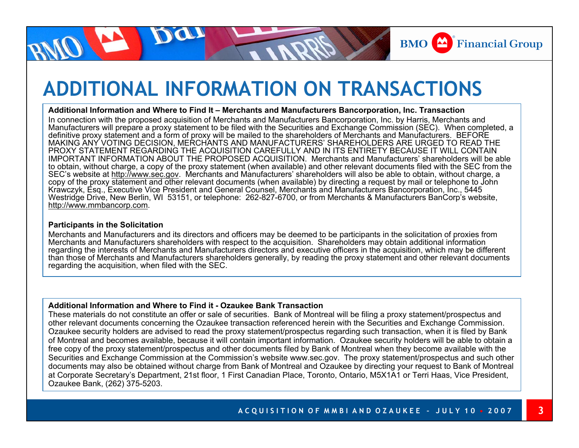

**3**

## **ADDITIONAL INFORMATION ON TRANSACTIONS**

#### **Additional Information and Where to Find It – Merchants and Manufacturers Bancorporation, Inc. Transaction**

In connection with the proposed acquisition of Merchants and Manufacturers Bancorporation, Inc. by Harris, Merchants and Manufacturers will prepare a proxy statement to be filed with the Securities and Exchange Commission (SEC). When completed, a definitive proxy statement and a form of proxy will be mailed to the shareholders of Merchants and Manufacturers. BEFORE MAKING ANY VOTING DECISION, MERCHANTS AND MANUFACTURERS' SHAREHOLDERS ARE URGED TO READ THE PROXY STATEMENT REGARDING THE ACQUISITION CAREFULLY AND IN ITS ENTIRETY BECAUSE IT WILL CONTAIN IMPORTANT INFORMATION ABOUT THE PROPOSED ACQUISITION. Merchants and Manufacturers' shareholders will be able to obtain, without charge, a copy of the proxy statement (when available) and other relevant documents filed with the SEC from the SEC's website at http://www.sec.gov. Merchants and Manufacturers' shareholders will also be able to obtain, without charge, a copy of the proxy statement and other relevant documents (when available) by directing a request by mail or telephone to John Krawczyk, Esq., Executive Vice President and General Counsel, Merchants and Manufacturers Bancorporation, Inc., 5445 Westridge Drive, New Berlin, WI 53151, or telephone: 262-827-6700, or from Merchants & Manufacturers BanCorp's website, http://www.mmbancorp.com.

#### **Participants in the Solicitation**

Merchants and Manufacturers and its directors and officers may be deemed to be participants in the solicitation of proxies from Merchants and Manufacturers shareholders with respect to the acquisition. Shareholders may obtain additional information regarding the interests of Merchants and Manufacturers directors and executive officers in the acquisition, which may be different than those of Merchants and Manufacturers shareholders generally, by reading the proxy statement and other relevant documents regarding the acquisition, when filed with the SEC.

#### **Additional Information and Where to Find it - Ozaukee Bank Transaction**

These materials do not constitute an offer or sale of securities. Bank of Montreal will be filing a proxy statement/prospectus and other relevant documents concerning the Ozaukee transaction referenced herein with the Securities and Exchange Commission. Ozaukee security holders are advised to read the proxy statement/prospectus regarding such transaction, when it is filed by Ban k of Montreal and becomes available, because it will contain important information. Ozaukee security holders will be able to obtain a free copy of the proxy statement/prospectus and other documents filed by Bank of Montreal when they become available with the Securities and Exchange Commission at the Commission's website www.sec.gov. The proxy statement/prospectus and such other documents may also be obtained without charge from Bank of Montreal and Ozaukee by directing your request to Bank of Montreal at Corporate Secretary's Department, 21st floor, 1 First Canadian Place, Toronto, Ontario, M5X1A1 or Terri Haas, Vice President, Ozaukee Bank, (262) 375-5203.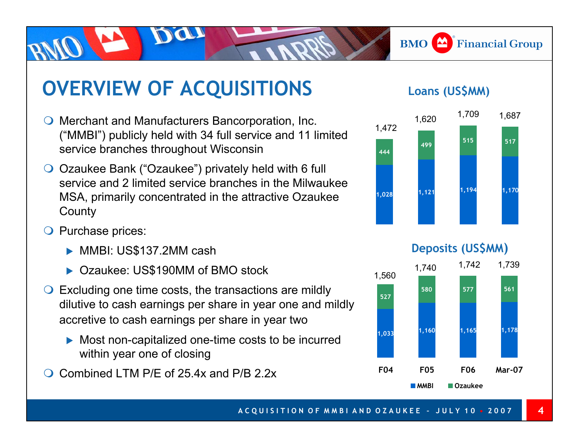## **OVERVIEW OF ACQUISITIONS** Loans (US\$MM)

- Merchant and Manufacturers Bancorporation, Inc. ("MMBI") publicly held with 34 full service and 11 limited service branches throughout Wisconsin
- Ozaukee Bank ("Ozaukee") privately held with 6 full service and 2 limited service branches in the Milwaukee MSA, primarily concentrated in the attractive Ozaukee **County**
- **O** Purchase prices:
	- MMBI: US\$137.2MM cash
	- ▶ Ozaukee: US\$190MM of BMO stock
- $\bigcirc$  Excluding one time costs, the transactions are mildly dilutive to cash earnings per share in year one and mildly accretive to cash earnings per share in year two
	- $\blacktriangleright$  Most non-capitalized one-time costs to be incurred within year one of closing
- $\Omega$ Combined LTM P/F of 25.4x and P/B 2.2x

**BMO**  $\triangle$  Financial Group





**4**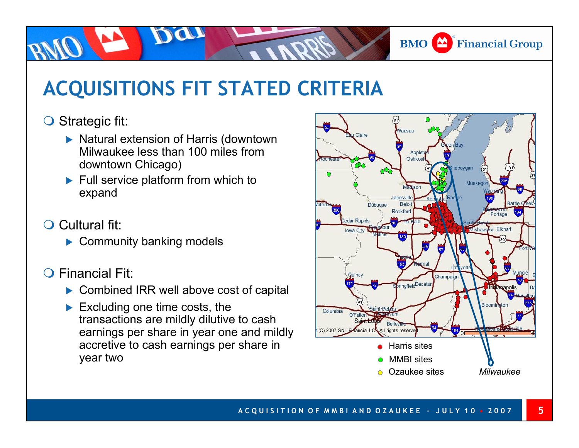

**5**

# **ACQUISITIONS FIT STATED CRITERIA**

#### O Strategic fit:

- ▶ Natural extension of Harris (downtown Milwaukee less than 100 miles from downtown Chicago)
- $\blacktriangleright$  Full service platform from which to expand
- **O** Cultural fit:
	- $\blacktriangleright$  Community banking models
- Financial Fit:
	- $\triangleright$  Combined IRR well above cost of capital
	- $\blacktriangleright$  Excluding one time costs, the transactions are mildly dilutive to cash earnings per share in year one and mildly accretive to cash earnings per share in year two

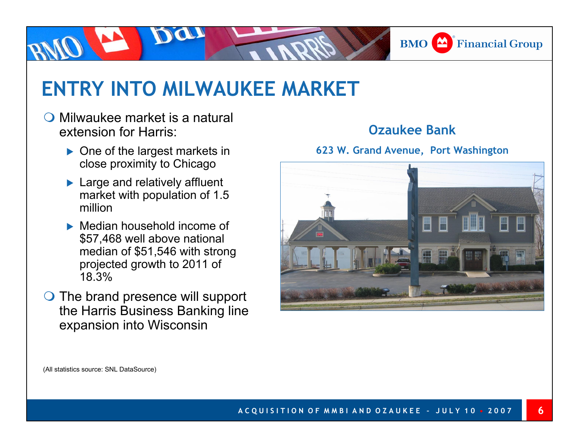

## **ENTRY INTO MILWAUKEE MARKET**

- $\bigcirc$  Milwaukee market is a natural extension for Harris:
	- $\triangleright$  One of the largest markets in close proximity to Chicago
	- $\blacktriangleright$  Large and relatively affluent market with population of 1.5 million
	- $\blacktriangleright$  Median household income of \$57,468 well above national median of \$51,546 with strong projected growth to 2011 of 18.3%
- $\bigcirc$  The brand presence will support the Harris Business Banking line expansion into Wisconsin

#### **Ozaukee Bank**

**623 W. Grand Avenue, Port Washington**



(All statistics source: SNL DataSource)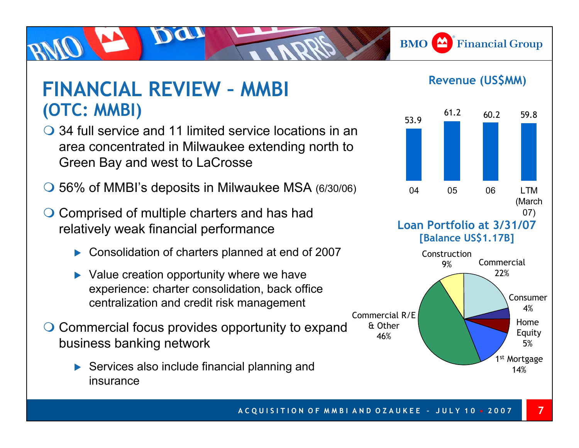**BMO** Financial Group

#### **FINANCIAL REVIEW – MMBI (OTC: MMBI)**

- 34 full service and 11 limited service locations in an area concentrated in Milwaukee extending north to Green Bay and west to LaCrosse
- 56% of MMBI's deposits in Milwaukee MSA (6/30/06)
- ◯ Comprised of multiple charters and has had relatively weak financial performance
	- $\triangleright$  Consolidation of charters planned at end of 2007
	- $\blacktriangleright$  Value creation opportunity where we have experience: charter consolidation, back office centralization and credit risk management
- Commercial focus provides opportunity to expand business banking network
	- $\triangleright$  Services also include financial planning and insurance

#### **Revenue (US\$MM)**



**Loan Portfolio at 3/31/07[Balance US\$1.17B]**



**7**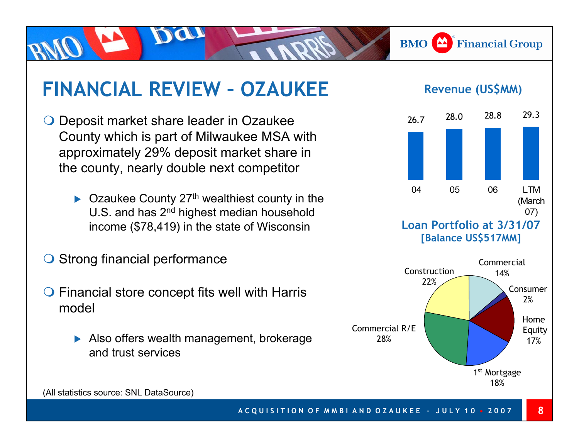## **FINANCIAL REVIEW – OZAUKEE**

- $\bigcirc$  Deposit market share leader in Ozaukee County which is part of Milwaukee MSA with approximately 29% deposit market share in the county, nearly double next competitor
	- $\blacktriangleright$  Ozaukee County 27<sup>th</sup> wealthiest county in the U.S. and has 2<sup>nd</sup> highest median household income (\$78,419) in the state of Wisconsin
- **Strong financial performance**
- $\bigcirc$  Financial store concept fits well with Harris model
	- $\blacktriangleright$  Also offers wealth management, brokerage and trust services



**BMO**  $\triangle$  Financial Group

1<sup>st</sup> Mortgage 18%

(All statistics source: SNL DataSource)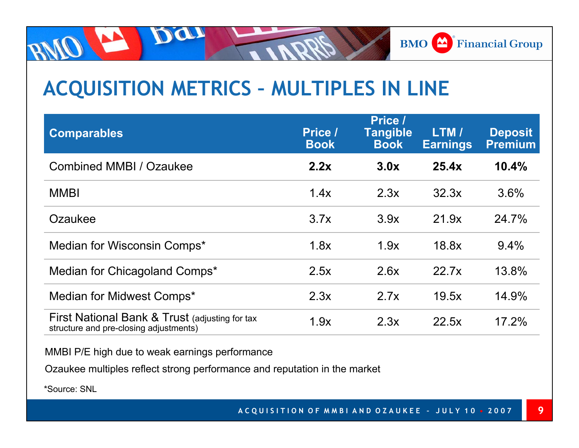

# **ACQUISITION METRICS – MULTIPLES IN LINE**

| <b>Comparables</b>                                                                       | Price /<br><b>Book</b> | Price /<br><b>Tangible</b><br><b>Book</b> | LTM /<br><b>Earnings</b> | <b>Deposit</b><br><b>Premium</b> |
|------------------------------------------------------------------------------------------|------------------------|-------------------------------------------|--------------------------|----------------------------------|
| <b>Combined MMBI / Ozaukee</b>                                                           | 2.2x                   | 3.0x                                      | 25.4x                    | 10.4%                            |
| <b>MMBI</b>                                                                              | 1.4x                   | 2.3x                                      | 32.3x                    | 3.6%                             |
| Ozaukee                                                                                  | 3.7x                   | 3.9x                                      | 21.9x                    | 24.7%                            |
| Median for Wisconsin Comps*                                                              | 1.8x                   | 1.9x                                      | 18.8x                    | 9.4%                             |
| Median for Chicagoland Comps*                                                            | 2.5x                   | 2.6x                                      | 22.7x                    | 13.8%                            |
| Median for Midwest Comps*                                                                | 2.3x                   | 2.7x                                      | 19.5x                    | 14.9%                            |
| First National Bank & Trust (adjusting for tax<br>structure and pre-closing adjustments) | 1.9x                   | 2.3x                                      | 22.5x                    | 17.2%                            |

MMBI P/E high due to weak earnings performance

Da

Ozauke e multiples reflect strong performance and reputation in the market

\*Source: SNL